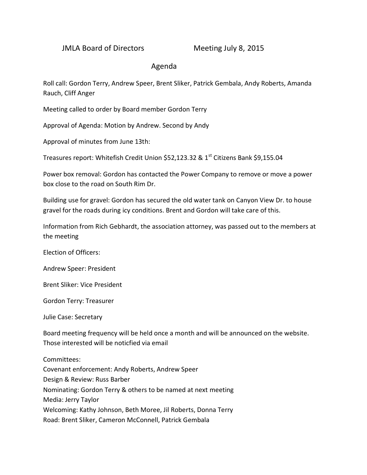## JMLA Board of Directors Meeting July 8, 2015

## Agenda

Roll call: Gordon Terry, Andrew Speer, Brent Sliker, Patrick Gembala, Andy Roberts, Amanda Rauch, Cliff Anger

Meeting called to order by Board member Gordon Terry

Approval of Agenda: Motion by Andrew. Second by Andy

Approval of minutes from June 13th:

Treasures report: Whitefish Credit Union \$52,123.32 & 1<sup>st</sup> Citizens Bank \$9,155.04

Power box removal: Gordon has contacted the Power Company to remove or move a power box close to the road on South Rim Dr.

Building use for gravel: Gordon has secured the old water tank on Canyon View Dr. to house gravel for the roads during icy conditions. Brent and Gordon will take care of this.

Information from Rich Gebhardt, the association attorney, was passed out to the members at the meeting

Election of Officers:

Andrew Speer: President

Brent Sliker: Vice President

Gordon Terry: Treasurer

Julie Case: Secretary

Board meeting frequency will be held once a month and will be announced on the website. Those interested will be noticfied via email

Committees: Covenant enforcement: Andy Roberts, Andrew Speer Design & Review: Russ Barber Nominating: Gordon Terry & others to be named at next meeting Media: Jerry Taylor Welcoming: Kathy Johnson, Beth Moree, Jil Roberts, Donna Terry Road: Brent Sliker, Cameron McConnell, Patrick Gembala